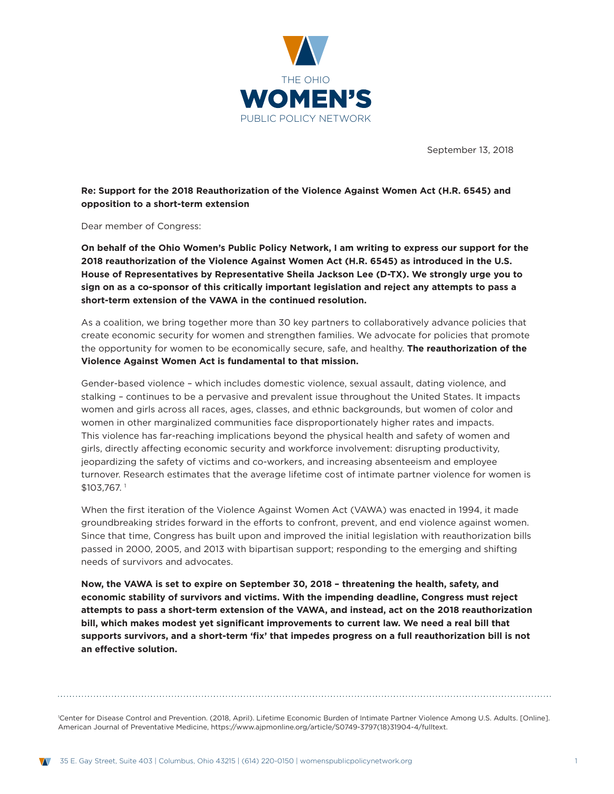

September 13, 2018

**Re: Support for the 2018 Reauthorization of the Violence Against Women Act (H.R. 6545) and opposition to a short-term extension** 

Dear member of Congress:

**On behalf of the Ohio Women's Public Policy Network, I am writing to express our support for the 2018 reauthorization of the Violence Against Women Act (H.R. 6545) as introduced in the U.S. House of Representatives by Representative Sheila Jackson Lee (D-TX). We strongly urge you to sign on as a co-sponsor of this critically important legislation and reject any attempts to pass a short-term extension of the VAWA in the continued resolution.** 

As a coalition, we bring together more than 30 key partners to collaboratively advance policies that create economic security for women and strengthen families. We advocate for policies that promote the opportunity for women to be economically secure, safe, and healthy. **The reauthorization of the Violence Against Women Act is fundamental to that mission.**

Gender-based violence – which includes domestic violence, sexual assault, dating violence, and stalking – continues to be a pervasive and prevalent issue throughout the United States. It impacts women and girls across all races, ages, classes, and ethnic backgrounds, but women of color and women in other marginalized communities face disproportionately higher rates and impacts. This violence has far-reaching implications beyond the physical health and safety of women and girls, directly affecting economic security and workforce involvement: disrupting productivity, jeopardizing the safety of victims and co-workers, and increasing absenteeism and employee turnover. Research estimates that the average lifetime cost of intimate partner violence for women is \$103,767. 1

When the first iteration of the Violence Against Women Act (VAWA) was enacted in 1994, it made groundbreaking strides forward in the efforts to confront, prevent, and end violence against women. Since that time, Congress has built upon and improved the initial legislation with reauthorization bills passed in 2000, 2005, and 2013 with bipartisan support; responding to the emerging and shifting needs of survivors and advocates.

**Now, the VAWA is set to expire on September 30, 2018 – threatening the health, safety, and economic stability of survivors and victims. With the impending deadline, Congress must reject attempts to pass a short-term extension of the VAWA, and instead, act on the 2018 reauthorization bill, which makes modest yet significant improvements to current law. We need a real bill that supports survivors, and a short-term 'fix' that impedes progress on a full reauthorization bill is not an effective solution.**

1 Center for Disease Control and Prevention. (2018, April). Lifetime Economic Burden of Intimate Partner Violence Among U.S. Adults. [Online]. American Journal of Preventative Medicine, https://www.ajpmonline.org/article/S0749-3797(18)31904-4/fulltext.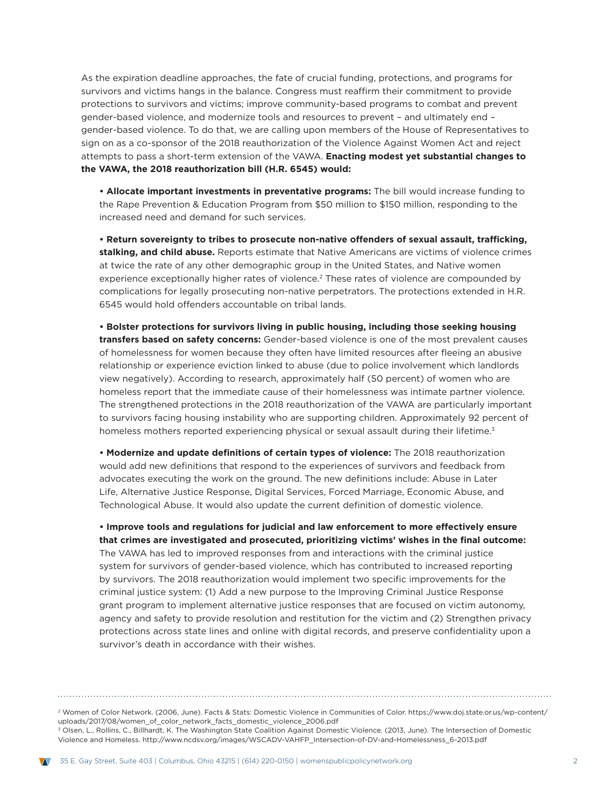As the expiration deadline approaches, the fate of crucial funding, protections, and programs for survivors and victims hangs in the balance. Congress must reaffirm their commitment to provide protections to survivors and victims; improve community-based programs to combat and prevent gender-based violence, and modernize tools and resources to prevent – and ultimately end – gender-based violence. To do that, we are calling upon members of the House of Representatives to sign on as a co-sponsor of the 2018 reauthorization of the Violence Against Women Act and reject attempts to pass a short-term extension of the VAWA. **Enacting modest yet substantial changes to the VAWA, the 2018 reauthorization bill (H.R. 6545) would:**

**• Allocate important investments in preventative programs:** The bill would increase funding to the Rape Prevention & Education Program from \$50 million to \$150 million, responding to the increased need and demand for such services.

**• Return sovereignty to tribes to prosecute non-native offenders of sexual assault, trafficking, stalking, and child abuse.** Reports estimate that Native Americans are victims of violence crimes at twice the rate of any other demographic group in the United States, and Native women experience exceptionally higher rates of violence.<sup>2</sup> These rates of violence are compounded by complications for legally prosecuting non-native perpetrators. The protections extended in H.R. 6545 would hold offenders accountable on tribal lands.

**• Bolster protections for survivors living in public housing, including those seeking housing transfers based on safety concerns:** Gender-based violence is one of the most prevalent causes of homelessness for women because they often have limited resources after fleeing an abusive relationship or experience eviction linked to abuse (due to police involvement which landlords view negatively). According to research, approximately half (50 percent) of women who are homeless report that the immediate cause of their homelessness was intimate partner violence. The strengthened protections in the 2018 reauthorization of the VAWA are particularly important to survivors facing housing instability who are supporting children. Approximately 92 percent of homeless mothers reported experiencing physical or sexual assault during their lifetime.<sup>3</sup>

**• Modernize and update definitions of certain types of violence:** The 2018 reauthorization would add new definitions that respond to the experiences of survivors and feedback from advocates executing the work on the ground. The new definitions include: Abuse in Later Life, Alternative Justice Response, Digital Services, Forced Marriage, Economic Abuse, and Technological Abuse. It would also update the current definition of domestic violence.

**• Improve tools and regulations for judicial and law enforcement to more effectively ensure that crimes are investigated and prosecuted, prioritizing victims' wishes in the final outcome:** The VAWA has led to improved responses from and interactions with the criminal justice system for survivors of gender-based violence, which has contributed to increased reporting by survivors. The 2018 reauthorization would implement two specific improvements for the criminal justice system: (1) Add a new purpose to the Improving Criminal Justice Response grant program to implement alternative justice responses that are focused on victim autonomy, agency and safety to provide resolution and restitution for the victim and (2) Strengthen privacy protections across state lines and online with digital records, and preserve confidentiality upon a survivor's death in accordance with their wishes.

2 Women of Color Network. (2006, June). Facts & Stats: Domestic Violence in Communities of Color. https://www.doj.state.or.us/wp-content/ uploads/2017/08/women\_of\_color\_network\_facts\_domestic\_violence\_2006.pdf 3 Olsen, L., Rollins, C., Billhardt, K. The Washington State Coalition Against Domestic Violence. (2013, June). The Intersection of Domestic Violence and Homeless. http://www.ncdsv.org/images/WSCADV-VAHFP\_Intersection-of-DV-and-Homelessness\_6-2013.pdf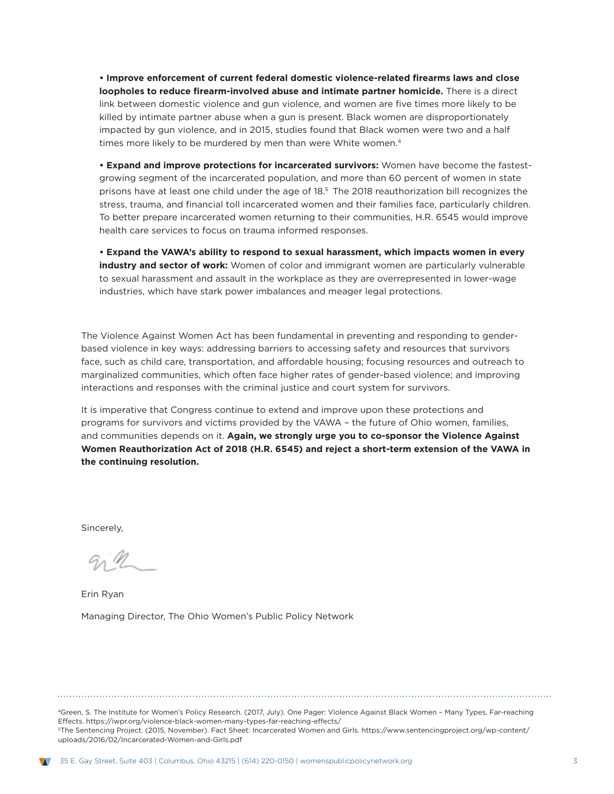**• Improve enforcement of current federal domestic violence-related firearms laws and close loopholes to reduce firearm-involved abuse and intimate partner homicide.** There is a direct link between domestic violence and gun violence, and women are five times more likely to be killed by intimate partner abuse when a gun is present. Black women are disproportionately impacted by gun violence, and in 2015, studies found that Black women were two and a half times more likely to be murdered by men than were White women.<sup>4</sup>

**• Expand and improve protections for incarcerated survivors:** Women have become the fastestgrowing segment of the incarcerated population, and more than 60 percent of women in state prisons have at least one child under the age of 18.5 The 2018 reauthorization bill recognizes the stress, trauma, and financial toll incarcerated women and their families face, particularly children. To better prepare incarcerated women returning to their communities, H.R. 6545 would improve health care services to focus on trauma informed responses.

**• Expand the VAWA's ability to respond to sexual harassment, which impacts women in every industry and sector of work:** Women of color and immigrant women are particularly vulnerable to sexual harassment and assault in the workplace as they are overrepresented in lower-wage industries, which have stark power imbalances and meager legal protections.

The Violence Against Women Act has been fundamental in preventing and responding to genderbased violence in key ways: addressing barriers to accessing safety and resources that survivors face, such as child care, transportation, and affordable housing; focusing resources and outreach to marginalized communities, which often face higher rates of gender-based violence; and improving interactions and responses with the criminal justice and court system for survivors.

It is imperative that Congress continue to extend and improve upon these protections and programs for survivors and victims provided by the VAWA – the future of Ohio women, families, and communities depends on it. **Again, we strongly urge you to co-sponsor the Violence Against Women Reauthorization Act of 2018 (H.R. 6545) and reject a short-term extension of the VAWA in the continuing resolution.**

Sincerely,

Erin Ryan Managing Director, The Ohio Women's Public Policy Network

4Green, S. The Institute for Women's Policy Research. (2017, July). One Pager: Violence Against Black Women – Many Types, Far-reaching Effects. https://iwpr.org/violence-black-women-many-types-far-reaching-effects/ 5The Sentencing Project. (2015, November). Fact Sheet: Incarcerated Women and Girls. https://www.sentencingproject.org/wp-content/ uploads/2016/02/Incarcerated-Women-and-Girls.pdf